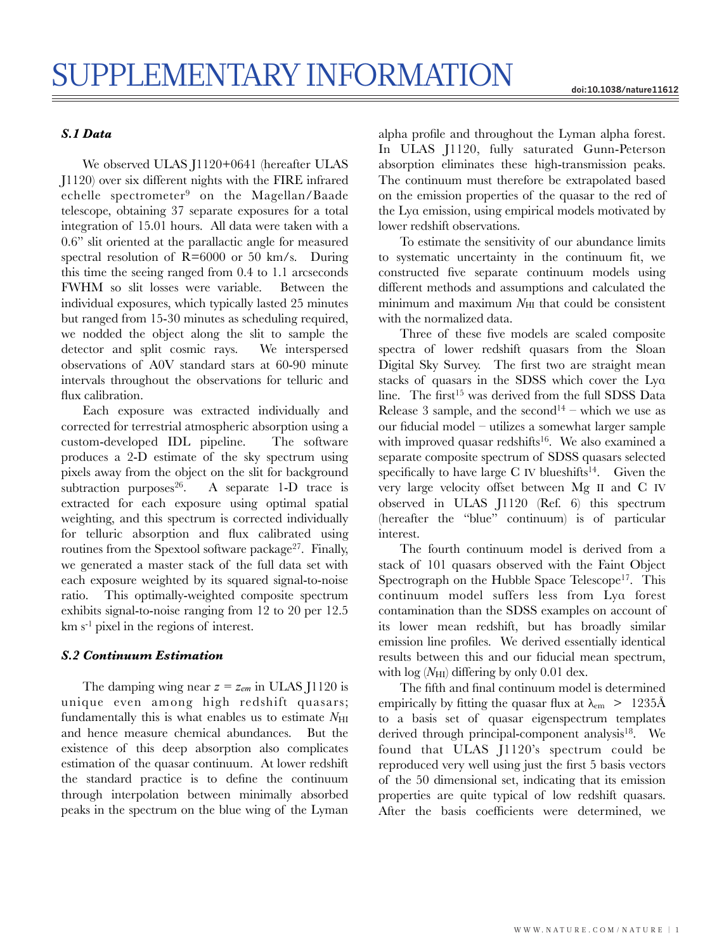## *S.1 Data*

We observed ULAS J1120+0641 (hereafter ULAS J1120) over six different nights with the FIRE infrared echelle spectrometer9 on the Magellan/Baade telescope, obtaining 37 separate exposures for a total integration of 15.01 hours. All data were taken with a 0.6" slit oriented at the parallactic angle for measured spectral resolution of R=6000 or 50 km/s. During this time the seeing ranged from 0.4 to 1.1 arcseconds FWHM so slit losses were variable. Between the individual exposures, which typically lasted 25 minutes but ranged from 15-30 minutes as scheduling required, we nodded the object along the slit to sample the detector and split cosmic rays. We interspersed observations of A0V standard stars at 60-90 minute intervals throughout the observations for telluric and flux calibration.

Each exposure was extracted individually and corrected for terrestrial atmospheric absorption using a custom-developed IDL pipeline. The software produces a 2-D estimate of the sky spectrum using pixels away from the object on the slit for background subtraction purposes $26$ . A separate 1-D trace is extracted for each exposure using optimal spatial weighting, and this spectrum is corrected individually for telluric absorption and flux calibrated using routines from the Spextool software package<sup>27</sup>. Finally, we generated a master stack of the full data set with each exposure weighted by its squared signal-to-noise ratio. This optimally-weighted composite spectrum exhibits signal-to-noise ranging from 12 to 20 per 12.5  $km s<sup>-1</sup>$  pixel in the regions of interest.

### *S.2 Continuum Estimation*

The damping wing near  $z = z_{em}$  in ULAS J1120 is unique even among high redshift quasars; fundamentally this is what enables us to estimate  $N_{\text{HI}}$ and hence measure chemical abundances. But the existence of this deep absorption also complicates estimation of the quasar continuum. At lower redshift the standard practice is to define the continuum through interpolation between minimally absorbed peaks in the spectrum on the blue wing of the Lyman

alpha profile and throughout the Lyman alpha forest. In ULAS J1120, fully saturated Gunn-Peterson absorption eliminates these high-transmission peaks. The continuum must therefore be extrapolated based on the emission properties of the quasar to the red of the Lyα emission, using empirical models motivated by lower redshift observations.

To estimate the sensitivity of our abundance limits to systematic uncertainty in the continuum fit, we constructed five separate continuum models using different methods and assumptions and calculated the minimum and maximum  $N_{\text{HI}}$  that could be consistent with the normalized data.

Three of these five models are scaled composite spectra of lower redshift quasars from the Sloan Digital Sky Survey. The first two are straight mean stacks of quasars in the SDSS which cover the Lyα line. The first<sup>15</sup> was derived from the full SDSS Data Release 3 sample, and the second<sup>14</sup> – which we use as our fiducial model – utilizes a somewhat larger sample with improved quasar redshifts<sup>16</sup>. We also examined a separate composite spectrum of SDSS quasars selected specifically to have large C IV blueshifts<sup>14</sup>. Given the very large velocity offset between Mg II and C IV observed in ULAS J1120 (Ref. 6) this spectrum (hereafter the "blue" continuum) is of particular interest.

The fourth continuum model is derived from a stack of 101 quasars observed with the Faint Object Spectrograph on the Hubble Space Telescope<sup>17</sup>. This continuum model suffers less from Lyα forest contamination than the SDSS examples on account of its lower mean redshift, but has broadly similar emission line profiles. We derived essentially identical results between this and our fiducial mean spectrum, with  $log(N<sub>HI</sub>)$  differing by only 0.01 dex.

The fifth and final continuum model is determined empirically by fitting the quasar flux at  $\lambda_{\rm cm} > 1235$ Å to a basis set of quasar eigenspectrum templates derived through principal-component analysis $18$ . We found that ULAS J1120's spectrum could be reproduced very well using just the first 5 basis vectors of the 50 dimensional set, indicating that its emission properties are quite typical of low redshift quasars. After the basis coefficients were determined, we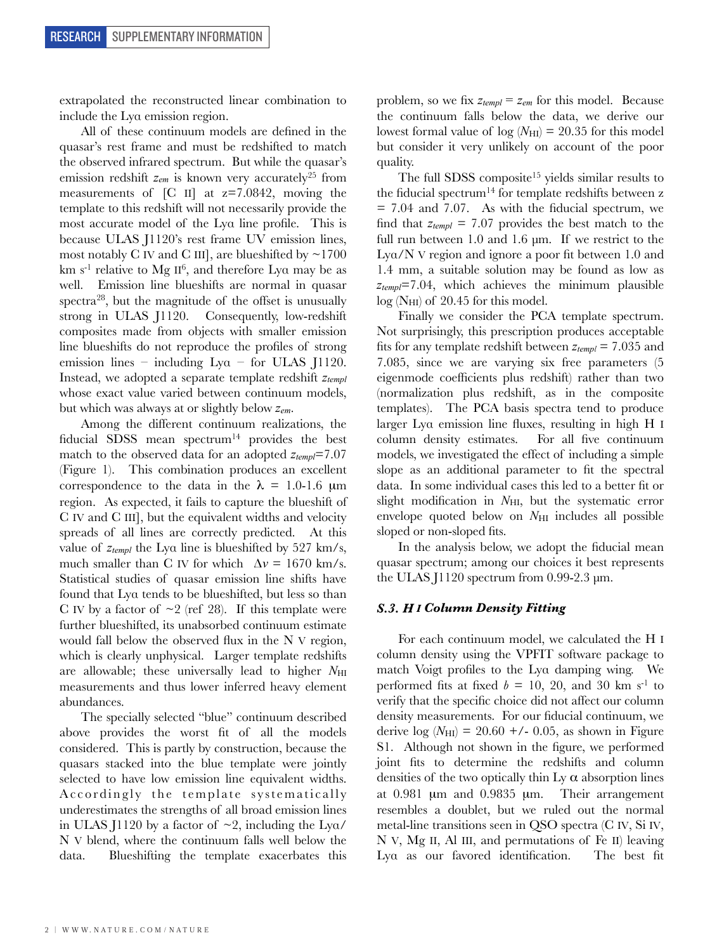extrapolated the reconstructed linear combination to include the Lyα emission region.

All of these continuum models are defined in the quasar's rest frame and must be redshifted to match the observed infrared spectrum. But while the quasar's emission redshift  $z_{em}$  is known very accurately<sup>25</sup> from measurements of  $\begin{bmatrix} C & \text{II} \end{bmatrix}$  at  $z=7.0842$ , moving the template to this redshift will not necessarily provide the most accurate model of the Lyα line profile. This is because ULAS J1120's rest frame UV emission lines, most notably C IV and C III], are blueshifted by  $\sim$ 1700 km s<sup>-1</sup> relative to Mg II<sup>6</sup>, and therefore Lya may be as well. Emission line blueshifts are normal in quasar spectra<sup>28</sup>, but the magnitude of the offset is unusually strong in ULAS J1120. Consequently, low-redshift composites made from objects with smaller emission line blueshifts do not reproduce the profiles of strong emission lines – including  $Ly\alpha$  – for ULAS J1120. Instead, we adopted a separate template redshift *ztempl* whose exact value varied between continuum models, but which was always at or slightly below *zem*.

Among the different continuum realizations, the fiducial SDSS mean spectrum<sup>14</sup> provides the best match to the observed data for an adopted *ztempl*=7.07 (Figure 1). This combination produces an excellent correspondence to the data in the  $\lambda = 1.0$ -1.6 µm region. As expected, it fails to capture the blueshift of C IV and C III], but the equivalent widths and velocity spreads of all lines are correctly predicted. At this value of *ztempl* the Lyα line is blueshifted by 527 km/s, much smaller than C IV for which  $\Delta v = 1670$  km/s. Statistical studies of quasar emission line shifts have found that Lyα tends to be blueshifted, but less so than C IV by a factor of  $\sim$ 2 (ref 28). If this template were further blueshifted, its unabsorbed continuum estimate would fall below the observed flux in the N V region, which is clearly unphysical. Larger template redshifts are allowable; these universally lead to higher  $N_{\text{HI}}$ measurements and thus lower inferred heavy element abundances.

The specially selected "blue" continuum described above provides the worst fit of all the models considered. This is partly by construction, because the quasars stacked into the blue template were jointly selected to have low emission line equivalent widths. Accordingly the template systematically underestimates the strengths of all broad emission lines in ULAS J1120 by a factor of  $\sim$ 2, including the Lya/ N V blend, where the continuum falls well below the data. Blueshifting the template exacerbates this problem, so we fix *ztempl = zem* for this model. Because the continuum falls below the data, we derive our lowest formal value of  $log(N<sub>HI</sub>)$  = 20.35 for this model but consider it very unlikely on account of the poor quality.

The full SDSS composite<sup>15</sup> yields similar results to the fiducial spectrum<sup>14</sup> for template redshifts between z  $= 7.04$  and 7.07. As with the fiducial spectrum, we find that *ztempl* = 7.07 provides the best match to the full run between 1.0 and 1.6 μm. If we restrict to the Lyα/N V region and ignore a poor fit between 1.0 and 1.4 mm, a suitable solution may be found as low as *ztempl*=7.04, which achieves the minimum plausible  $log(N_{HI})$  of 20.45 for this model.

Finally we consider the PCA template spectrum. Not surprisingly, this prescription produces acceptable fits for any template redshift between *ztempl* = 7.035 and 7.085, since we are varying six free parameters (5 eigenmode coefficients plus redshift) rather than two (normalization plus redshift, as in the composite templates). The PCA basis spectra tend to produce larger Lyα emission line fluxes, resulting in high H I column density estimates. For all five continuum models, we investigated the effect of including a simple slope as an additional parameter to fit the spectral data. In some individual cases this led to a better fit or slight modification in  $N_{\rm HI}$ , but the systematic error envelope quoted below on *N*<sub>HI</sub> includes all possible sloped or non-sloped fits.

In the analysis below, we adopt the fiducial mean quasar spectrum; among our choices it best represents the ULAS J1120 spectrum from 0.99-2.3 μm.

#### *S.3. H I Column Density Fitting*

For each continuum model, we calculated the H I column density using the VPFIT software package to match Voigt profiles to the Lyα damping wing. We performed fits at fixed  $b = 10, 20,$  and 30 km s<sup>-1</sup> to verify that the specific choice did not affect our column density measurements. For our fiducial continuum, we derive  $log (N_{\text{HI}}) = 20.60 + (-0.05, \text{ as shown in Figure}$ S1. Although not shown in the figure, we performed joint fits to determine the redshifts and column densities of the two optically thin  $Ly \alpha$  absorption lines at 0.981 µm and 0.9835 µm. Their arrangement resembles a doublet, but we ruled out the normal metal-line transitions seen in QSO spectra (C IV, Si IV, N V, Mg II, Al III, and permutations of Fe II) leaving Lyα as our favored identification. The best fit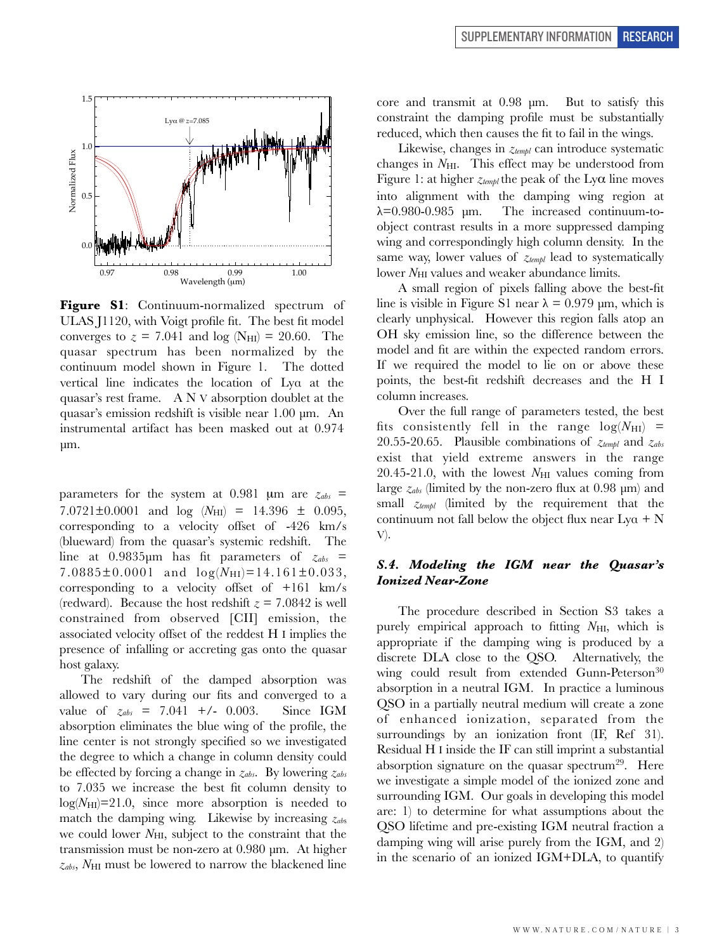

**Figure S1**: Continuum-normalized spectrum of ULAS J1120, with Voigt profile fit. The best fit model converges to  $z = 7.041$  and  $log(N_{\text{HI}}) = 20.60$ . The quasar spectrum has been normalized by the continuum model shown in Figure 1. The dotted vertical line indicates the location of Lyα at the quasar's rest frame. A N V absorption doublet at the quasar's emission redshift is visible near 1.00 μm. An instrumental artifact has been masked out at 0.974 μm.

parameters for the system at 0.981  $\mu$ m are  $z_{abs}$  = 7.0721 $\pm$ 0.0001 and  $log(N_{\text{HI}}) = 14.396 \pm 0.095$ , corresponding to a velocity offset of -426 km/s (blueward) from the quasar's systemic redshift. The line at 0.9835μm has fit parameters of *zabs* = 7.0885 $\pm$ 0.0001 and  $log(N_{\text{HI}})$ =14.161 $\pm$ 0.033, corresponding to a velocity offset of +161 km/s (redward). Because the host redshift  $z = 7.0842$  is well constrained from observed [CII] emission, the associated velocity offset of the reddest H I implies the presence of infalling or accreting gas onto the quasar host galaxy.

The redshift of the damped absorption was allowed to vary during our fits and converged to a value of  $z_{abs} = 7.041 +/- 0.003$ . Since IGM absorption eliminates the blue wing of the profile, the line center is not strongly specified so we investigated the degree to which a change in column density could be effected by forcing a change in *zabs*. By lowering *zabs* to 7.035 we increase the best fit column density to  $log(N_{\text{HI}})=21.0$ , since more absorption is needed to match the damping wing. Likewise by increasing *zab*<sup>s</sup> we could lower *N*<sub>HI</sub>, subject to the constraint that the transmission must be non-zero at 0.980 μm. At higher  $z_{abs}$ ,  $N_{\text{HI}}$  must be lowered to narrow the blackened line core and transmit at 0.98 μm. But to satisfy this constraint the damping profile must be substantially reduced, which then causes the fit to fail in the wings.

Likewise, changes in *ztempl* can introduce systematic changes in  $N_{\rm HI}$ . This effect may be understood from Figure 1: at higher *ztempl* the peak of the Lyα line moves into alignment with the damping wing region at  $\lambda$ =0.980-0.985 μm. The increased continuum-toobject contrast results in a more suppressed damping wing and correspondingly high column density. In the same way, lower values of *ztempl* lead to systematically lower *N*<sub>HI</sub> values and weaker abundance limits.

A small region of pixels falling above the best-fit line is visible in Figure S1 near  $\lambda = 0.979$  μm, which is clearly unphysical. However this region falls atop an OH sky emission line, so the difference between the model and fit are within the expected random errors. If we required the model to lie on or above these points, the best-fit redshift decreases and the H I column increases.

Over the full range of parameters tested, the best fits consistently fell in the range  $log(N_{\text{HI}})$  = 20.55-20.65. Plausible combinations of *ztempl* and *zabs* exist that yield extreme answers in the range  $20.45-21.0$ , with the lowest  $N_{\rm HI}$  values coming from large *zabs* (limited by the non-zero flux at 0.98 μm) and small *ztempl* (limited by the requirement that the continuum not fall below the object flux near  $Ly\alpha + N$ V).

## *S.4. Modeling the IGM near the Quasar's Ionized Near-Zone*

The procedure described in Section S3 takes a purely empirical approach to fitting  $N_{\rm HI}$ , which is appropriate if the damping wing is produced by a discrete DLA close to the QSO. Alternatively, the wing could result from extended Gunn-Peterson<sup>30</sup> absorption in a neutral IGM. In practice a luminous QSO in a partially neutral medium will create a zone of enhanced ionization, separated from the surroundings by an ionization front (IF, Ref 31). Residual H I inside the IF can still imprint a substantial absorption signature on the quasar spectrum<sup>29</sup>. Here we investigate a simple model of the ionized zone and surrounding IGM. Our goals in developing this model are: 1) to determine for what assumptions about the QSO lifetime and pre-existing IGM neutral fraction a damping wing will arise purely from the IGM, and 2) in the scenario of an ionized IGM+DLA, to quantify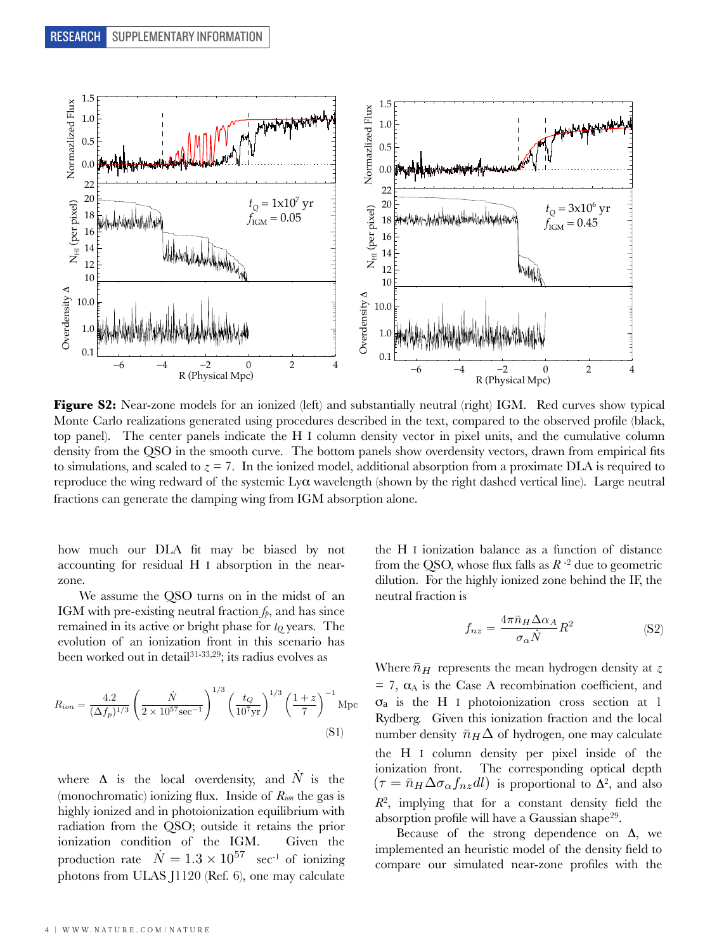

**Figure S2:** Near-zone models for an ionized (left) and substantially neutral (right) IGM. Red curves show typical Monte Carlo realizations generated using procedures described in the text, compared to the observed profile (black, top panel). The center panels indicate the H I column density vector in pixel units, and the cumulative column density from the QSO in the smooth curve. The bottom panels show overdensity vectors, drawn from empirical fits to simulations, and scaled to  $z = 7$ . In the ionized model, additional absorption from a proximate DLA is required to reproduce the wing redward of the systemic  $L_y\alpha$  wavelength (shown by the right dashed vertical line). Large neutral fractions can generate the damping wing from IGM absorption alone.

how much our DLA fit may be biased by not accounting for residual H I absorption in the nearzone.

We assume the QSO turns on in the midst of an IGM with pre-existing neutral fraction  $f_p$ , and has since remained in its active or bright phase for  $t<sub>Q</sub>$  years. The evolution of an ionization front in this scenario has been worked out in detail<sup>31-33,29</sup>; its radius evolves as

$$
R_{ion} = \frac{4.2}{(\Delta f_p)^{1/3}} \left(\frac{\dot{N}}{2 \times 10^{57} \text{sec}^{-1}}\right)^{1/3} \left(\frac{t_Q}{10^7 \text{yr}}\right)^{1/3} \left(\frac{1+z}{7}\right)^{-1} \text{Mpc}
$$
\n(S1)

where  $\Delta$  is the local overdensity, and  $\dot{N}$  is the (monochromatic) ionizing flux. Inside of *Rion* the gas is highly ionized and in photoionization equilibrium with radiation from the QSO; outside it retains the prior ionization condition of the IGM. Given the production rate  $\dot{N} = 1.3 \times 10^{57}$  sec<sup>-1</sup> of ionizing photons from ULAS J1120 (Ref. 6), one may calculate

the H I ionization balance as a function of distance from the QSO, whose flux falls as *R* -2 due to geometric dilution. For the highly ionized zone behind the IF, the neutral fraction is

$$
f_{nz} = \frac{4\pi\bar{n}_H \Delta\alpha_A}{\sigma_\alpha \dot{N}} R^2
$$
 (S2)

Where  $\bar{n}_H$  represents the mean hydrogen density at *z*  $= 7$ ,  $\alpha_A$  is the Case A recombination coefficient, and σa is the H I photoionization cross section at 1 Rydberg. Given this ionization fraction and the local number density  $\bar{n}_H\Delta$  of hydrogen, one may calculate the H I column density per pixel inside of the ionization front. The corresponding optical depth  $(\tau = \bar{n}_H \Delta \sigma_\alpha f_{nz} dl)$  is proportional to  $\Delta^2$ , and also  $R^2$ , implying that for a constant density field the absorption profile will have a Gaussian shape<sup>29</sup>.

Because of the strong dependence on  $\Delta$ , we implemented an heuristic model of the density field to compare our simulated near-zone profiles with the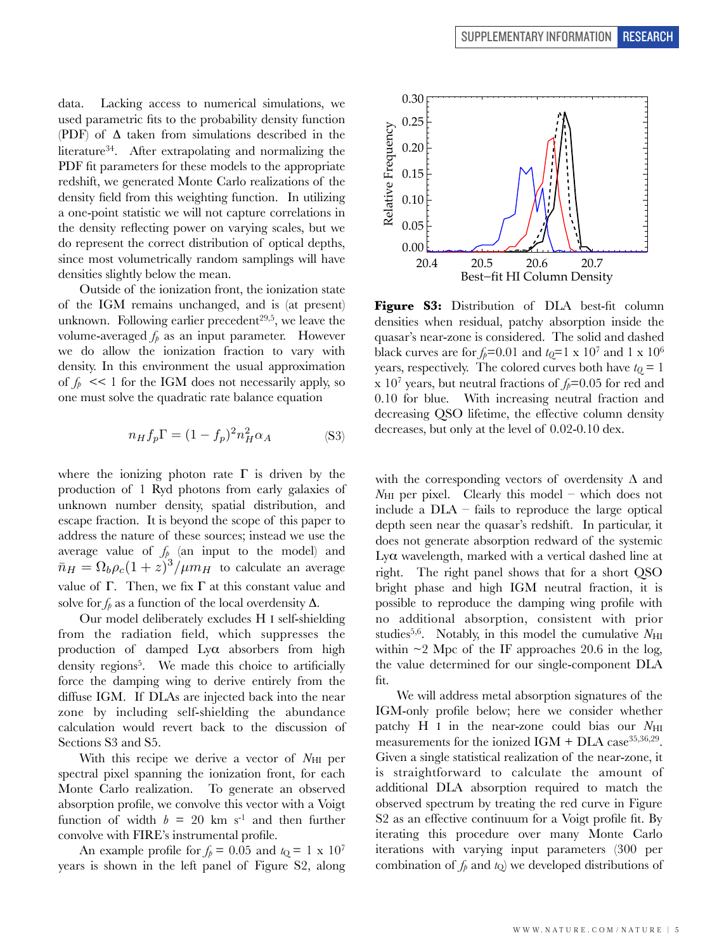data. Lacking access to numerical simulations, we used parametric fits to the probability density function (PDF) of  $\Delta$  taken from simulations described in the literature34. After extrapolating and normalizing the PDF fit parameters for these models to the appropriate redshift, we generated Monte Carlo realizations of the density field from this weighting function. In utilizing a one-point statistic we will not capture correlations in the density reflecting power on varying scales, but we do represent the correct distribution of optical depths, since most volumetrically random samplings will have densities slightly below the mean.

Outside of the ionization front, the ionization state of the IGM remains unchanged, and is (at present) unknown. Following earlier precedent<sup>29,5</sup>, we leave the volume-averaged  $f_p$  as an input parameter. However we do allow the ionization fraction to vary with density. In this environment the usual approximation of  $f_p \ll 1$  for the IGM does not necessarily apply, so one must solve the quadratic rate balance equation

$$
n_H f_p \Gamma = (1 - f_p)^2 n_H^2 \alpha_A \tag{S3}
$$

where the ionizing photon rate  $\Gamma$  is driven by the production of 1 Ryd photons from early galaxies of unknown number density, spatial distribution, and escape fraction. It is beyond the scope of this paper to address the nature of these sources; instead we use the average value of  $f_p$  (an input to the model) and  $\bar{n}_H = \Omega_b \rho_c (1+z)^3 / \mu m_H$  to calculate an average value of Γ. Then, we fix Γ at this constant value and solve for  $f_p$  as a function of the local overdensity  $\Delta$ .

Our model deliberately excludes H I self-shielding from the radiation field, which suppresses the production of damped  $Ly\alpha$  absorbers from high density regions<sup>5</sup>. We made this choice to artificially force the damping wing to derive entirely from the diffuse IGM. If DLAs are injected back into the near zone by including self-shielding the abundance calculation would revert back to the discussion of Sections S3 and S5.

With this recipe we derive a vector of N<sub>HI</sub> per spectral pixel spanning the ionization front, for each Monte Carlo realization. To generate an observed absorption profile, we convolve this vector with a Voigt function of width  $b = 20$  km s<sup>-1</sup> and then further convolve with FIRE's instrumental profile.

An example profile for  $f_p = 0.05$  and  $t_Q = 1 \times 10^7$ years is shown in the left panel of Figure S2, along



**Figure S3:** Distribution of DLA best-fit column densities when residual, patchy absorption inside the quasar's near-zone is considered. The solid and dashed black curves are for  $f_p$ =0.01 and  $t_Q$ =1 x 10<sup>7</sup> and 1 x 10<sup>6</sup> years, respectively. The colored curves both have  $t<sub>Q</sub> = 1$ x 10<sup>7</sup> years, but neutral fractions of  $f_p$ =0.05 for red and 0.10 for blue. With increasing neutral fraction and decreasing QSO lifetime, the effective column density decreases, but only at the level of  $0.02$ -0.10 dex.

with the corresponding vectors of overdensity  $\Delta$  and  $N_{\rm HI}$  per pixel. Clearly this model – which does not include a DLA – fails to reproduce the large optical depth seen near the quasar's redshift. In particular, it does not generate absorption redward of the systemic Lyα wavelength, marked with a vertical dashed line at right. The right panel shows that for a short QSO bright phase and high IGM neutral fraction, it is possible to reproduce the damping wing profile with no additional absorption, consistent with prior studies<sup>5,6</sup>. Notably, in this model the cumulative  $N_{\rm HI}$ within  $\sim$ 2 Mpc of the IF approaches 20.6 in the log, the value determined for our single-component DLA fit.

We will address metal absorption signatures of the IGM-only profile below; here we consider whether patchy H I in the near-zone could bias our  $N_{\text{HI}}$ measurements for the ionized IGM + DLA case  $35,36,29$ . Given a single statistical realization of the near-zone, it is straightforward to calculate the amount of additional DLA absorption required to match the observed spectrum by treating the red curve in Figure S2 as an effective continuum for a Voigt profile fit. By iterating this procedure over many Monte Carlo iterations with varying input parameters (300 per combination of  $f_p$  and  $t_Q$ ) we developed distributions of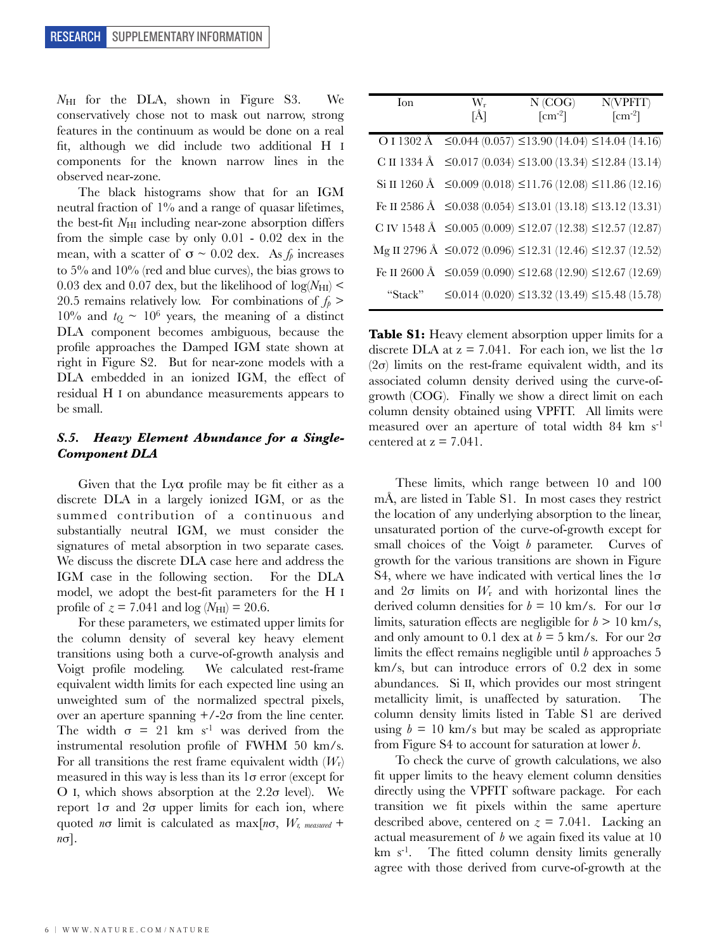*N*HI for the DLA, shown in Figure S3. We conservatively chose not to mask out narrow, strong features in the continuum as would be done on a real fit, although we did include two additional H I components for the known narrow lines in the observed near-zone.

The black histograms show that for an IGM neutral fraction of 1% and a range of quasar lifetimes, the best-fit *N*HI including near-zone absorption differs from the simple case by only 0.01 - 0.02 dex in the mean, with a scatter of  $\sigma \sim 0.02$  dex. As  $f_p$  increases to 5% and 10% (red and blue curves), the bias grows to 0.03 dex and 0.07 dex, but the likelihood of  $log(N_{\text{HI}})$  < 20.5 remains relatively low. For combinations of  $f_p$  > 10% and  $t<sub>Q</sub> \sim 10<sup>6</sup>$  years, the meaning of a distinct DLA component becomes ambiguous, because the profile approaches the Damped IGM state shown at right in Figure S2. But for near-zone models with a DLA embedded in an ionized IGM, the effect of residual H I on abundance measurements appears to be small.

# *S.5. Heavy Element Abundance for a Single-Component DLA*

Given that the  $Ly\alpha$  profile may be fit either as a discrete DLA in a largely ionized IGM, or as the summed contribution of a continuous and substantially neutral IGM, we must consider the signatures of metal absorption in two separate cases. We discuss the discrete DLA case here and address the IGM case in the following section. For the DLA model, we adopt the best-fit parameters for the H I profile of  $z = 7.041$  and  $log(N_{\text{HI}}) = 20.6$ .

For these parameters, we estimated upper limits for the column density of several key heavy element transitions using both a curve-of-growth analysis and Voigt profile modeling. We calculated rest-frame equivalent width limits for each expected line using an unweighted sum of the normalized spectral pixels, over an aperture spanning  $+\frac{2\sigma}{\text{ from the line center}}$ . The width  $\sigma = 21$  km s<sup>-1</sup> was derived from the instrumental resolution profile of FWHM 50 km/s. For all transitions the rest frame equivalent width (*W*r) measured in this way is less than its  $1\sigma$  error (except for O I, which shows absorption at the  $2.2\sigma$  level). We report  $1σ$  and  $2σ$  upper limits for each ion, where quoted *n*σ limit is calculated as max[*n*σ, *Wr, measured* + *n*σ].

| Ion     | $W_r$ | N (COG)                                                                     | N(VPFIT)                           |
|---------|-------|-----------------------------------------------------------------------------|------------------------------------|
|         | [Å]   | $\lceil$ cm <sup>-2</sup> $\rceil$                                          | $\lceil$ cm <sup>-2</sup> $\rceil$ |
|         |       | O I 1302 Å $\leq$ 0.044 (0.057) $\leq$ 13.90 (14.04) $\leq$ 14.04 (14.16)   |                                    |
|         |       | C II 1334 Å $\leq$ 0.017 (0.034) $\leq$ 13.00 (13.34) $\leq$ 12.84 (13.14)  |                                    |
|         |       | Si II 1260 Å ≤0.009 (0.018) ≤11.76 (12.08) ≤11.86 (12.16)                   |                                    |
|         |       | Fe II 2586 Å $\leq$ 0.038 (0.054) $\leq$ 13.01 (13.18) $\leq$ 13.12 (13.31) |                                    |
|         |       | C IV 1548 Å $\leq$ 0.005 (0.009) $\leq$ 12.07 (12.38) $\leq$ 12.57 (12.87)  |                                    |
|         |       | Mg II 2796 Å $\leq$ 0.072 (0.096) $\leq$ 12.31 (12.46) $\leq$ 12.37 (12.52) |                                    |
|         |       | Fe II 2600 Å $\leq$ 0.059 (0.090) $\leq$ 12.68 (12.90) $\leq$ 12.67 (12.69) |                                    |
| "Stack" |       | $\leq$ 0.014 (0.020) $\leq$ 13.32 (13.49) $\leq$ 15.48 (15.78)              |                                    |

Table S1: Heavy element absorption upper limits for a discrete DLA at  $z = 7.041$ . For each ion, we list the  $1\sigma$ ( $2\sigma$ ) limits on the rest-frame equivalent width, and its associated column density derived using the curve-ofgrowth (COG). Finally we show a direct limit on each column density obtained using VPFIT. All limits were measured over an aperture of total width 84 km s-1 centered at  $z = 7.041$ .

These limits, which range between 10 and 100 mÅ, are listed in Table S1. In most cases they restrict the location of any underlying absorption to the linear, unsaturated portion of the curve-of-growth except for small choices of the Voigt *b* parameter. Curves of growth for the various transitions are shown in Figure S4, where we have indicated with vertical lines the  $1\sigma$ and  $2\sigma$  limits on  $W_r$  and with horizontal lines the derived column densities for  $b = 10$  km/s. For our  $1\sigma$ limits, saturation effects are negligible for  $b > 10$  km/s, and only amount to 0.1 dex at  $b = 5$  km/s. For our  $2\sigma$ limits the effect remains negligible until *b* approaches 5 km/s, but can introduce errors of 0.2 dex in some abundances. Si II, which provides our most stringent metallicity limit, is unaffected by saturation. The column density limits listed in Table S1 are derived using  $b = 10$  km/s but may be scaled as appropriate from Figure S4 to account for saturation at lower *b*.

To check the curve of growth calculations, we also fit upper limits to the heavy element column densities directly using the VPFIT software package. For each transition we fit pixels within the same aperture described above, centered on  $z = 7.041$ . Lacking an actual measurement of *b* we again fixed its value at 10  $km s<sup>-1</sup>$ . The fitted column density limits generally agree with those derived from curve-of-growth at the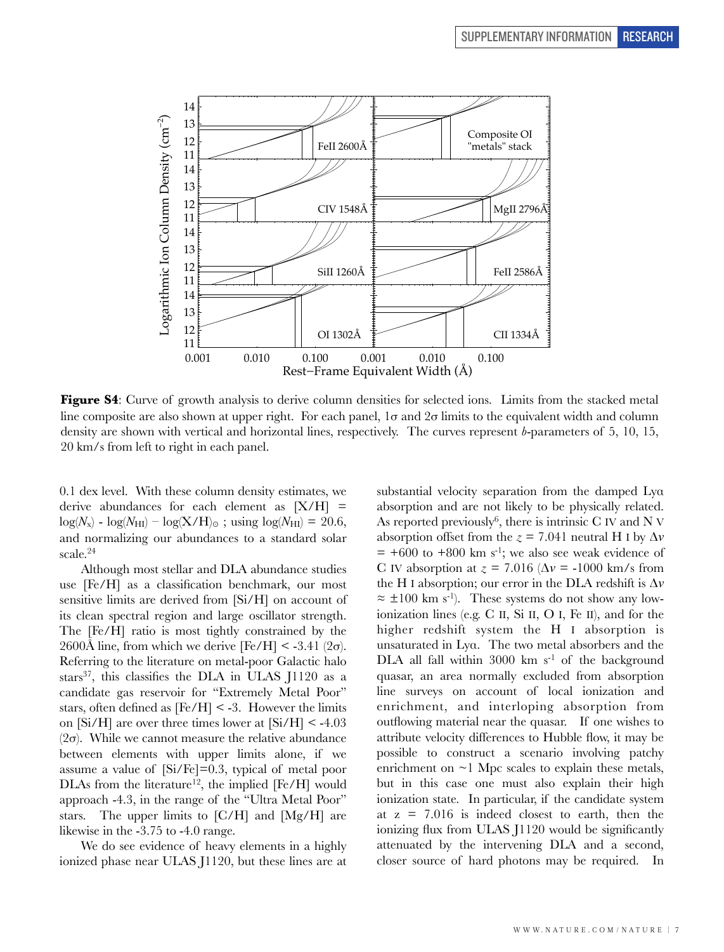

**Figure S4**: Curve of growth analysis to derive column densities for selected ions. Limits from the stacked metal line composite are also shown at upper right. For each panel,  $1\sigma$  and  $2\sigma$  limits to the equivalent width and column density are shown with vertical and horizontal lines, respectively. The curves represent *b*-parameters of 5, 10, 15, 20 km/s from left to right in each panel.

0.1 dex level. With these column density estimates, we derive abundances for each element as  $[X/H]$  =  $log(N_x) - log(N_{\text{HI}}) - log(X/H)_{\odot}$ ; using  $log(N_{\text{HI}}) = 20.6$ , and normalizing our abundances to a standard solar scale.<sup>24</sup>

Although most stellar and DLA abundance studies use [Fe/H] as a classification benchmark, our most sensitive limits are derived from [Si/H] on account of its clean spectral region and large oscillator strength. The [Fe/H] ratio is most tightly constrained by the 2600Å line, from which we derive  $[Fe/H] < -3.41$  (2 $\sigma$ ). Referring to the literature on metal-poor Galactic halo stars<sup>37</sup>, this classifies the DLA in ULAS J1120 as a candidate gas reservoir for "Extremely Metal Poor" stars, often defined as  $[Fe/H]$  < -3. However the limits on  $[Si/H]$  are over three times lower at  $[Si/H] < -4.03$ ( $2\sigma$ ). While we cannot measure the relative abundance between elements with upper limits alone, if we assume a value of [Si/Fe]=0.3, typical of metal poor DLAs from the literature<sup>12</sup>, the implied  $[Fe/H]$  would approach -4.3, in the range of the "Ultra Metal Poor" stars. The upper limits to [C/H] and [Mg/H] are likewise in the -3.75 to -4.0 range.

We do see evidence of heavy elements in a highly ionized phase near ULAS J1120, but these lines are at substantial velocity separation from the damped Lyα absorption and are not likely to be physically related. As reported previously<sup>6</sup>, there is intrinsic C IV and N V absorption offset from the  $z = 7.041$  neutral H I by  $\Delta v$  $= +600$  to  $+800$  km s<sup>-1</sup>; we also see weak evidence of C IV absorption at  $z = 7.016$  ( $\Delta v = -1000$  km/s from the H I absorption; our error in the DLA redshift is Δ*v*  $\approx \pm 100$  km s<sup>-1</sup>). These systems do not show any lowionization lines (e.g. C II, Si II, O I, Fe II), and for the higher redshift system the H I absorption is unsaturated in Lyα. The two metal absorbers and the DLA all fall within 3000 km  $s^{-1}$  of the background quasar, an area normally excluded from absorption line surveys on account of local ionization and enrichment, and interloping absorption from outflowing material near the quasar. If one wishes to attribute velocity differences to Hubble flow, it may be possible to construct a scenario involving patchy enrichment on  $\sim$ 1 Mpc scales to explain these metals, but in this case one must also explain their high ionization state. In particular, if the candidate system at  $z = 7.016$  is indeed closest to earth, then the ionizing flux from ULAS J1120 would be significantly attenuated by the intervening DLA and a second, closer source of hard photons may be required. In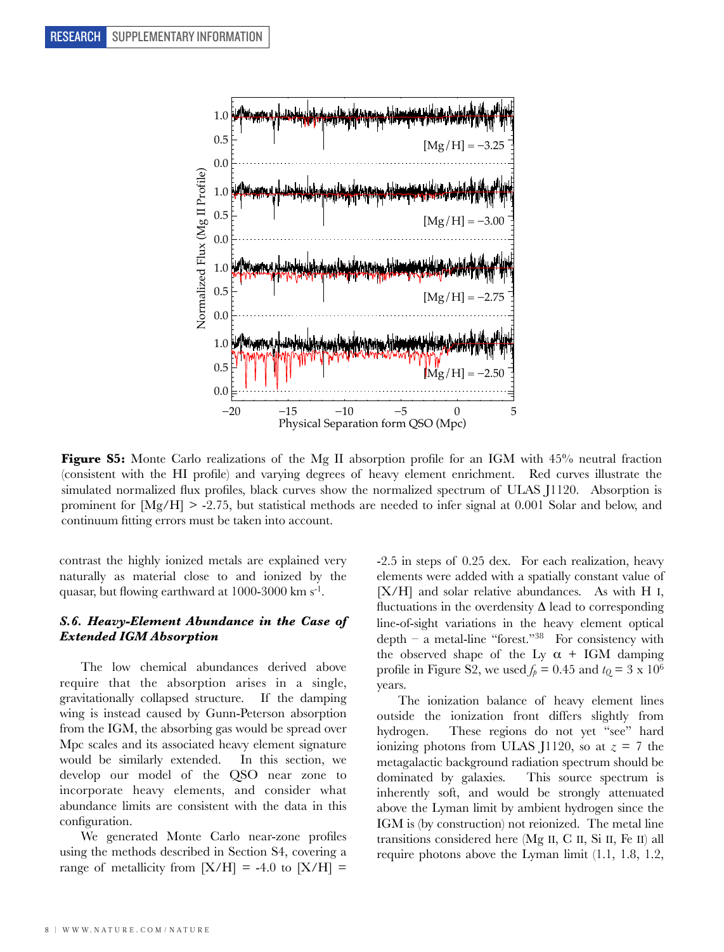

**Figure S5:** Monte Carlo realizations of the Mg II absorption profile for an IGM with 45% neutral fraction (consistent with the HI profile) and varying degrees of heavy element enrichment. Red curves illustrate the simulated normalized flux profiles, black curves show the normalized spectrum of ULAS J1120. Absorption is prominent for [Mg/H] > -2.75, but statistical methods are needed to infer signal at 0.001 Solar and below, and continuum fitting errors must be taken into account.

contrast the highly ionized metals are explained very naturally as material close to and ionized by the quasar, but flowing earthward at 1000-3000 km s-1.

## *S.6. Heavy-Element Abundance in the Case of Extended IGM Absorption*

The low chemical abundances derived above require that the absorption arises in a single, gravitationally collapsed structure. If the damping wing is instead caused by Gunn-Peterson absorption from the IGM, the absorbing gas would be spread over Mpc scales and its associated heavy element signature would be similarly extended. In this section, we develop our model of the QSO near zone to incorporate heavy elements, and consider what abundance limits are consistent with the data in this configuration.

We generated Monte Carlo near-zone profiles using the methods described in Section S4, covering a range of metallicity from  $[X/H] = -4.0$  to  $[X/H] =$  -2.5 in steps of 0.25 dex. For each realization, heavy elements were added with a spatially constant value of [X/H] and solar relative abundances. As with H I, fluctuations in the overdensity  $\Delta$  lead to corresponding line-of-sight variations in the heavy element optical depth – a metal-line "forest."<sup>38</sup> For consistency with the observed shape of the Ly  $\alpha$  + IGM damping profile in Figure S2, we used  $f_p = 0.45$  and  $t_Q = 3 \times 10^6$ years.

The ionization balance of heavy element lines outside the ionization front differs slightly from hydrogen. These regions do not yet "see" hard ionizing photons from ULAS J1120, so at  $z = 7$  the metagalactic background radiation spectrum should be dominated by galaxies. This source spectrum is inherently soft, and would be strongly attenuated above the Lyman limit by ambient hydrogen since the IGM is (by construction) not reionized. The metal line transitions considered here (Mg II, C II, Si II, Fe II) all require photons above the Lyman limit (1.1, 1.8, 1.2,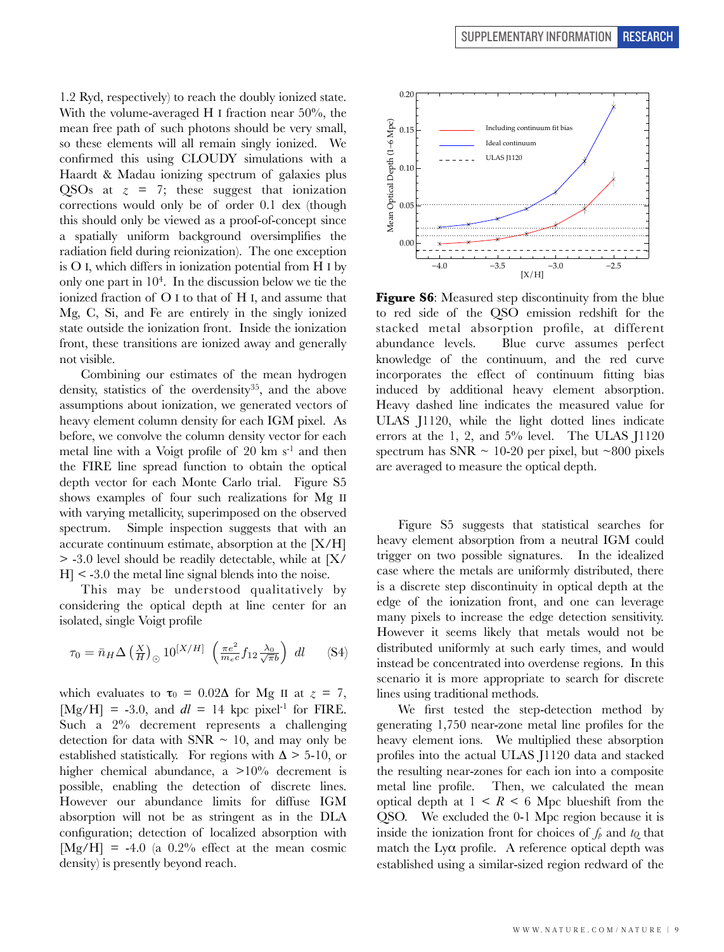1.2 Ryd, respectively) to reach the doubly ionized state. With the volume-averaged H I fraction near 50%, the mean free path of such photons should be very small, so these elements will all remain singly ionized. We confirmed this using CLOUDY simulations with a Haardt & Madau ionizing spectrum of galaxies plus QSOs at  $z = 7$ ; these suggest that ionization corrections would only be of order 0.1 dex (though this should only be viewed as a proof-of-concept since a spatially uniform background oversimplifies the radiation field during reionization). The one exception is O I, which differs in ionization potential from H I by only one part in  $10<sup>4</sup>$ . In the discussion below we tie the ionized fraction of O I to that of H I, and assume that Mg, C, Si, and Fe are entirely in the singly ionized state outside the ionization front. Inside the ionization front, these transitions are ionized away and generally not visible.

Combining our estimates of the mean hydrogen density, statistics of the overdensity<sup>35</sup>, and the above assumptions about ionization, we generated vectors of heavy element column density for each IGM pixel. As before, we convolve the column density vector for each metal line with a Voigt profile of  $20 \text{ km s}^{-1}$  and then the FIRE line spread function to obtain the optical depth vector for each Monte Carlo trial. Figure S5 shows examples of four such realizations for Mg II with varying metallicity, superimposed on the observed spectrum. Simple inspection suggests that with an accurate continuum estimate, absorption at the [X/H] > -3.0 level should be readily detectable, while at [X/  $H$   $\leq$  -3.0 the metal line signal blends into the noise.

This may be understood qualitatively by considering the optical depth at line center for an isolated, single Voigt profile

$$
\tau_0 = \bar{n}_H \Delta \left(\frac{X}{H}\right)_{\odot} 10^{[X/H]} \left(\frac{\pi e^2}{m_e c} f_{12} \frac{\lambda_0}{\sqrt{\pi b}}\right) dl \quad (S4)
$$

which evaluates to  $\tau_0 = 0.02\Delta$  for Mg II at  $z = 7$ ,  $[Mg/H] = -3.0$ , and  $dl = 14$  kpc pixel<sup>-1</sup> for FIRE. Such a 2% decrement represents a challenging detection for data with SNR  $\sim$  10, and may only be established statistically. For regions with  $\Delta > 5\times 10$ , or higher chemical abundance, a >10% decrement is possible, enabling the detection of discrete lines. However our abundance limits for diffuse IGM absorption will not be as stringent as in the DLA configuration; detection of localized absorption with  $[Mg/H] = -4.0$  (a 0.2% effect at the mean cosmic density) is presently beyond reach.



**Figure S6:** Measured step discontinuity from the blue to red side of the QSO emission redshift for the stacked metal absorption profile, at different abundance levels. Blue curve assumes perfect knowledge of the continuum, and the red curve incorporates the effect of continuum fitting bias induced by additional heavy element absorption. Heavy dashed line indicates the measured value for ULAS J1120, while the light dotted lines indicate errors at the 1, 2, and 5% level. The ULAS J1120 spectrum has SNR  $\sim$  10-20 per pixel, but  $\sim$ 800 pixels are averaged to measure the optical depth.

Figure S5 suggests that statistical searches for heavy element absorption from a neutral IGM could trigger on two possible signatures. In the idealized case where the metals are uniformly distributed, there is a discrete step discontinuity in optical depth at the edge of the ionization front, and one can leverage many pixels to increase the edge detection sensitivity. However it seems likely that metals would not be distributed uniformly at such early times, and would instead be concentrated into overdense regions. In this scenario it is more appropriate to search for discrete lines using traditional methods.

We first tested the step-detection method by generating 1,750 near-zone metal line profiles for the heavy element ions. We multiplied these absorption profiles into the actual ULAS J1120 data and stacked the resulting near-zones for each ion into a composite metal line profile. Then, we calculated the mean optical depth at  $1 \leq R \leq 6$  Mpc blueshift from the QSO. We excluded the 0-1 Mpc region because it is inside the ionization front for choices of  $f_p$  and  $t_Q$  that match the Ly $\alpha$  profile. A reference optical depth was established using a similar-sized region redward of the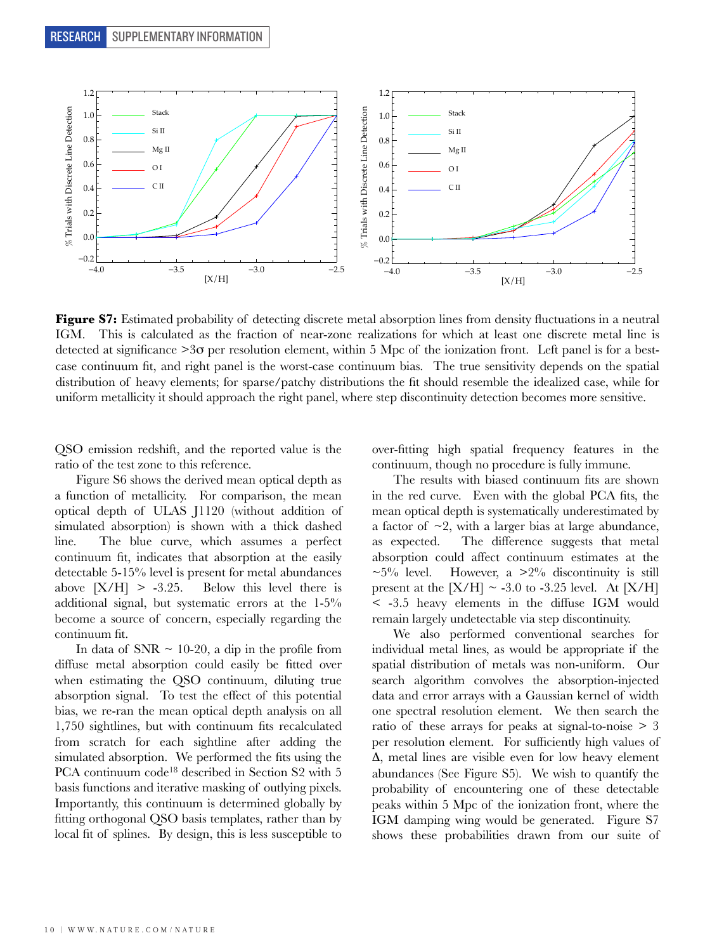

**Figure S7:** Estimated probability of detecting discrete metal absorption lines from density fluctuations in a neutral IGM. This is calculated as the fraction of near-zone realizations for which at least one discrete metal line is detected at significance  $>3\sigma$  per resolution element, within 5 Mpc of the ionization front. Left panel is for a bestcase continuum fit, and right panel is the worst-case continuum bias. The true sensitivity depends on the spatial distribution of heavy elements; for sparse/patchy distributions the fit should resemble the idealized case, while for uniform metallicity it should approach the right panel, where step discontinuity detection becomes more sensitive.

QSO emission redshift, and the reported value is the ratio of the test zone to this reference.

Figure S6 shows the derived mean optical depth as a function of metallicity. For comparison, the mean optical depth of ULAS J1120 (without addition of simulated absorption) is shown with a thick dashed line. The blue curve, which assumes a perfect continuum fit, indicates that absorption at the easily detectable 5-15% level is present for metal abundances above  $[X/H] > -3.25$ . Below this level there is additional signal, but systematic errors at the 1-5% become a source of concern, especially regarding the continuum fit.

In data of  $SNR \sim 10{\text -}20$ , a dip in the profile from diffuse metal absorption could easily be fitted over when estimating the QSO continuum, diluting true absorption signal. To test the effect of this potential bias, we re-ran the mean optical depth analysis on all 1,750 sightlines, but with continuum fits recalculated from scratch for each sightline after adding the simulated absorption. We performed the fits using the PCA continuum code<sup>18</sup> described in Section S2 with 5 basis functions and iterative masking of outlying pixels. Importantly, this continuum is determined globally by fitting orthogonal QSO basis templates, rather than by local fit of splines. By design, this is less susceptible to

over-fitting high spatial frequency features in the continuum, though no procedure is fully immune.

The results with biased continuum fits are shown in the red curve. Even with the global PCA fits, the mean optical depth is systematically underestimated by a factor of  $\sim$ 2, with a larger bias at large abundance, as expected. The difference suggests that metal absorption could affect continuum estimates at the  $\sim$ 5% level. However, a  $>$ 2% discontinuity is still present at the  $[X/H] \sim -3.0$  to  $-3.25$  level. At  $[X/H]$ < -3.5 heavy elements in the diffuse IGM would remain largely undetectable via step discontinuity.

We also performed conventional searches for individual metal lines, as would be appropriate if the spatial distribution of metals was non-uniform. Our search algorithm convolves the absorption-injected data and error arrays with a Gaussian kernel of width one spectral resolution element. We then search the ratio of these arrays for peaks at signal-to-noise > 3 per resolution element. For sufficiently high values of Δ, metal lines are visible even for low heavy element abundances (See Figure S5). We wish to quantify the probability of encountering one of these detectable peaks within 5 Mpc of the ionization front, where the IGM damping wing would be generated. Figure S7 shows these probabilities drawn from our suite of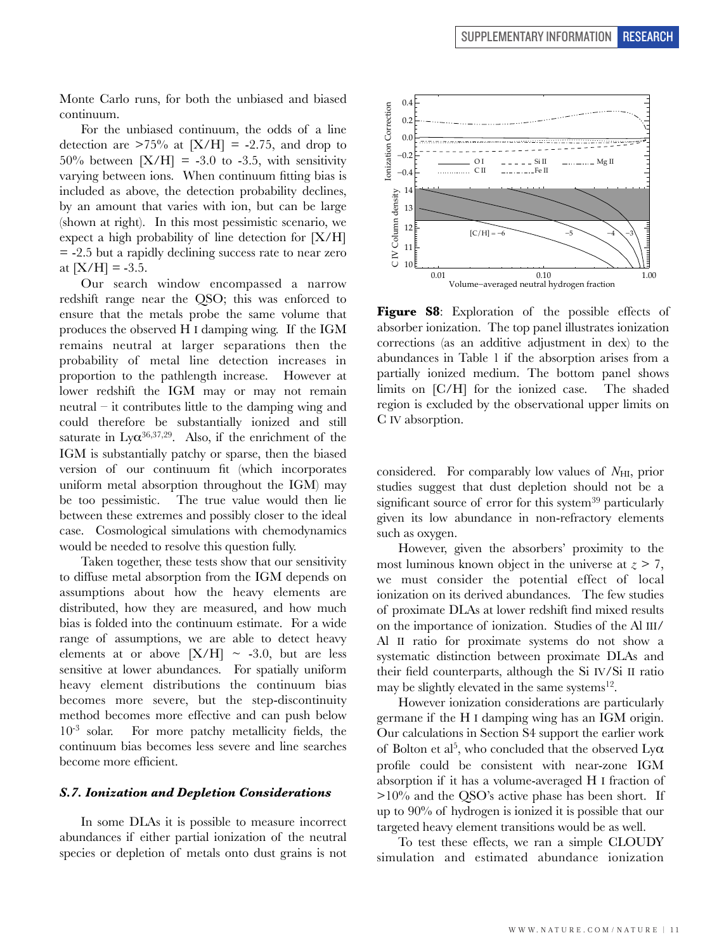Monte Carlo runs, for both the unbiased and biased continuum.

For the unbiased continuum, the odds of a line detection are  $>75\%$  at  $[X/H] = -2.75$ , and drop to  $50\%$  between  $[X/H] = -3.0$  to  $-3.5$ , with sensitivity varying between ions. When continuum fitting bias is included as above, the detection probability declines, by an amount that varies with ion, but can be large (shown at right). In this most pessimistic scenario, we expect a high probability of line detection for [X/H] = -2.5 but a rapidly declining success rate to near zero at  $[X/H] = -3.5$ .

Our search window encompassed a narrow redshift range near the QSO; this was enforced to ensure that the metals probe the same volume that produces the observed H I damping wing. If the IGM remains neutral at larger separations then the probability of metal line detection increases in proportion to the pathlength increase. However at lower redshift the IGM may or may not remain neutral – it contributes little to the damping wing and could therefore be substantially ionized and still saturate in  $Ly\alpha^{36,37,29}$ . Also, if the enrichment of the IGM is substantially patchy or sparse, then the biased version of our continuum fit (which incorporates uniform metal absorption throughout the IGM) may be too pessimistic. The true value would then lie between these extremes and possibly closer to the ideal case. Cosmological simulations with chemodynamics would be needed to resolve this question fully.

Taken together, these tests show that our sensitivity to diffuse metal absorption from the IGM depends on assumptions about how the heavy elements are distributed, how they are measured, and how much bias is folded into the continuum estimate. For a wide range of assumptions, we are able to detect heavy elements at or above  $[X/H] \sim -3.0$ , but are less sensitive at lower abundances. For spatially uniform heavy element distributions the continuum bias becomes more severe, but the step-discontinuity method becomes more effective and can push below 10-3 solar. For more patchy metallicity fields, the continuum bias becomes less severe and line searches become more efficient.

### *S.7. Ionization and Depletion Considerations*

In some DLAs it is possible to measure incorrect abundances if either partial ionization of the neutral species or depletion of metals onto dust grains is not



**Figure S8**: Exploration of the possible effects of absorber ionization. The top panel illustrates ionization corrections (as an additive adjustment in dex) to the abundances in Table 1 if the absorption arises from a partially ionized medium. The bottom panel shows limits on [C/H] for the ionized case. The shaded region is excluded by the observational upper limits on C IV absorption.

considered. For comparably low values of *N*<sub>HI</sub>, prior studies suggest that dust depletion should not be a significant source of error for this system<sup>39</sup> particularly given its low abundance in non-refractory elements such as oxygen.

However, given the absorbers' proximity to the most luminous known object in the universe at  $z \geq 7$ , we must consider the potential effect of local ionization on its derived abundances. The few studies of proximate DLAs at lower redshift find mixed results on the importance of ionization. Studies of the Al III/ Al II ratio for proximate systems do not show a systematic distinction between proximate DLAs and their field counterparts, although the Si IV/Si II ratio may be slightly elevated in the same systems $^{12}$ .

However ionization considerations are particularly germane if the H I damping wing has an IGM origin. Our calculations in Section S4 support the earlier work of Bolton et al<sup>5</sup>, who concluded that the observed  $Ly\alpha$ profile could be consistent with near-zone IGM absorption if it has a volume-averaged H I fraction of  $>10\%$  and the QSO's active phase has been short. If up to 90% of hydrogen is ionized it is possible that our targeted heavy element transitions would be as well.

To test these effects, we ran a simple CLOUDY simulation and estimated abundance ionization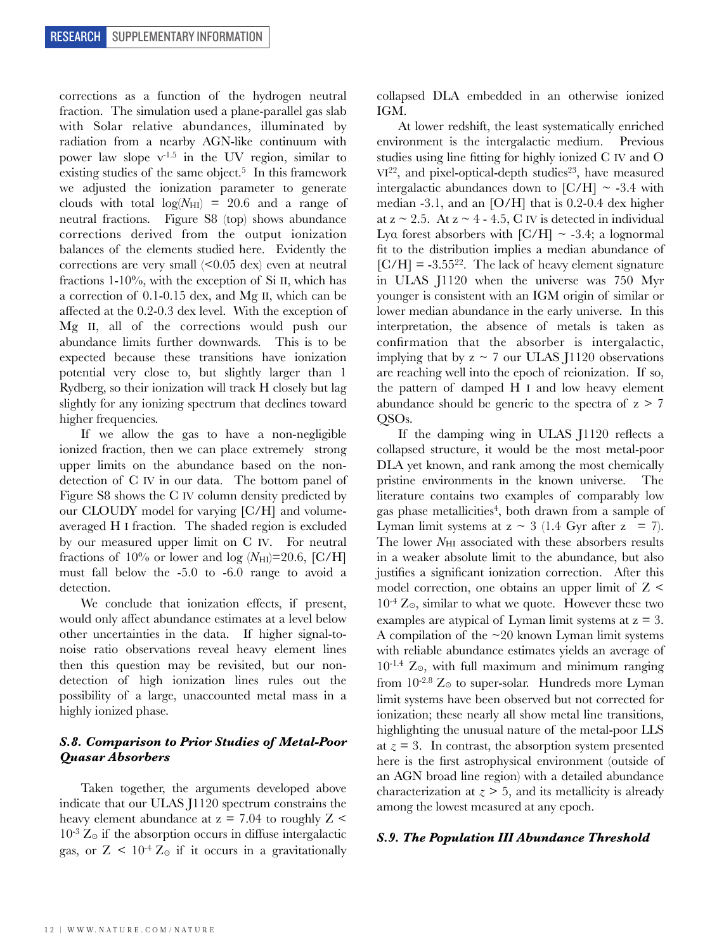corrections as a function of the hydrogen neutral fraction. The simulation used a plane-parallel gas slab with Solar relative abundances, illuminated by radiation from a nearby AGN-like continuum with power law slope  $v^{1.5}$  in the UV region, similar to existing studies of the same object.<sup>5</sup> In this framework we adjusted the ionization parameter to generate clouds with total  $log(N_{\text{HI}}) = 20.6$  and a range of neutral fractions. Figure S8 (top) shows abundance corrections derived from the output ionization balances of the elements studied here. Evidently the corrections are very small  $\langle 0.05 \text{ dex} \rangle$  even at neutral fractions 1-10%, with the exception of Si II, which has a correction of 0.1-0.15 dex, and Mg II, which can be affected at the 0.2-0.3 dex level. With the exception of Mg II, all of the corrections would push our abundance limits further downwards. This is to be expected because these transitions have ionization potential very close to, but slightly larger than 1 Rydberg, so their ionization will track H closely but lag slightly for any ionizing spectrum that declines toward higher frequencies.

If we allow the gas to have a non-negligible ionized fraction, then we can place extremely strong upper limits on the abundance based on the nondetection of C IV in our data. The bottom panel of Figure S8 shows the C IV column density predicted by our CLOUDY model for varying [C/H] and volumeaveraged H I fraction. The shaded region is excluded by our measured upper limit on C IV. For neutral fractions of  $10\%$  or lower and log  $(N_{\text{HI}})=20.6$ , [C/H] must fall below the -5.0 to -6.0 range to avoid a detection.

We conclude that ionization effects, if present, would only affect abundance estimates at a level below other uncertainties in the data. If higher signal-tonoise ratio observations reveal heavy element lines then this question may be revisited, but our nondetection of high ionization lines rules out the possibility of a large, unaccounted metal mass in a highly ionized phase.

# *S.8. Comparison to Prior Studies of Metal-Poor Quasar Absorbers*

Taken together, the arguments developed above indicate that our ULAS J1120 spectrum constrains the heavy element abundance at  $z = 7.04$  to roughly  $Z \le$  $10^{-3}$  Z<sub>o</sub> if the absorption occurs in diffuse intergalactic gas, or  $Z < 10^{-4} Z_{\odot}$  if it occurs in a gravitationally collapsed DLA embedded in an otherwise ionized IGM.

At lower redshift, the least systematically enriched environment is the intergalactic medium. Previous studies using line fitting for highly ionized C IV and O  $VI^{22}$ , and pixel-optical-depth studies<sup>23</sup>, have measured intergalactic abundances down to  $\text{[C/H]} \sim -3.4$  with median -3.1, and an [O/H] that is 0.2-0.4 dex higher at  $z \sim 2.5$ . At  $z \sim 4 - 4.5$ , C IV is detected in individual Lyα forest absorbers with  $\text{[C/H]} \sim -3.4$ ; a lognormal fit to the distribution implies a median abundance of  $[C/H] = -3.55^{22}$ . The lack of heavy element signature in ULAS J1120 when the universe was 750 Myr younger is consistent with an IGM origin of similar or lower median abundance in the early universe. In this interpretation, the absence of metals is taken as confirmation that the absorber is intergalactic, implying that by  $z \sim 7$  our ULAS J1120 observations are reaching well into the epoch of reionization. If so, the pattern of damped H I and low heavy element abundance should be generic to the spectra of  $z \ge 7$ QSOs.

If the damping wing in ULAS J1120 reflects a collapsed structure, it would be the most metal-poor DLA yet known, and rank among the most chemically pristine environments in the known universe. The literature contains two examples of comparably low gas phase metallicities<sup>4</sup>, both drawn from a sample of Lyman limit systems at  $z \sim 3$  (1.4 Gyr after  $z = 7$ ). The lower  $N_{\rm HI}$  associated with these absorbers results in a weaker absolute limit to the abundance, but also justifies a significant ionization correction. After this model correction, one obtains an upper limit of  $Z \leq$  $10^{-4}$  Z<sub>o</sub>, similar to what we quote. However these two examples are atypical of Lyman limit systems at  $z = 3$ . A compilation of the  $\sim$ 20 known Lyman limit systems with reliable abundance estimates yields an average of 10-1.4 Z⊙, with full maximum and minimum ranging from  $10^{-2.8}$  Z<sub>☉</sub> to super-solar. Hundreds more Lyman limit systems have been observed but not corrected for ionization; these nearly all show metal line transitions, highlighting the unusual nature of the metal-poor LLS at  $z = 3$ . In contrast, the absorption system presented here is the first astrophysical environment (outside of an AGN broad line region) with a detailed abundance characterization at  $z \geq 5$ , and its metallicity is already among the lowest measured at any epoch.

#### *S.9. The Population III Abundance Threshold*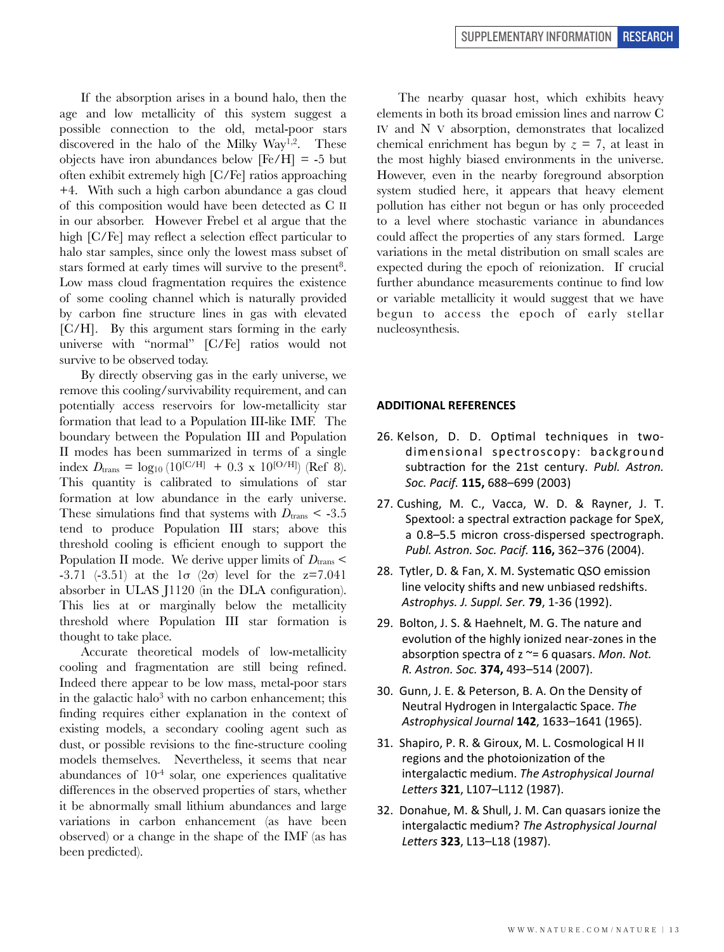If the absorption arises in a bound halo, then the age and low metallicity of this system suggest a possible connection to the old, metal-poor stars discovered in the halo of the Milky Way<sup>1,2</sup>. These objects have iron abundances below  $[Fe/H] = -5$  but often exhibit extremely high [C/Fe] ratios approaching +4. With such a high carbon abundance a gas cloud of this composition would have been detected as C II in our absorber. However Frebel et al argue that the high [C/Fe] may reflect a selection effect particular to halo star samples, since only the lowest mass subset of stars formed at early times will survive to the present<sup>8</sup>. Low mass cloud fragmentation requires the existence of some cooling channel which is naturally provided by carbon fine structure lines in gas with elevated [C/H]. By this argument stars forming in the early universe with "normal" [C/Fe] ratios would not survive to be observed today.

By directly observing gas in the early universe, we remove this cooling/survivability requirement, and can potentially access reservoirs for low-metallicity star formation that lead to a Population III-like IMF. The boundary between the Population III and Population II modes has been summarized in terms of a single index  $D_{\text{trans}} = \log_{10} (10^{\text{[C/H]}} + 0.3 \text{ x } 10^{\text{[O/H]}})$  (Ref 8). This quantity is calibrated to simulations of star formation at low abundance in the early universe. These simulations find that systems with  $D_{trans} < -3.5$ tend to produce Population III stars; above this threshold cooling is efficient enough to support the Population II mode. We derive upper limits of  $D_{trans}$ -3.71 (-3.51) at the  $1\sigma$  (2σ) level for the z=7.041 absorber in ULAS J1120 (in the DLA configuration). This lies at or marginally below the metallicity threshold where Population III star formation is thought to take place.

Accurate theoretical models of low-metallicity cooling and fragmentation are still being refined. Indeed there appear to be low mass, metal-poor stars in the galactic halo<sup>3</sup> with no carbon enhancement; this finding requires either explanation in the context of existing models, a secondary cooling agent such as dust, or possible revisions to the fine-structure cooling models themselves. Nevertheless, it seems that near abundances of  $10^{-4}$  solar, one experiences qualitative differences in the observed properties of stars, whether it be abnormally small lithium abundances and large variations in carbon enhancement (as have been observed) or a change in the shape of the IMF (as has been predicted).

The nearby quasar host, which exhibits heavy elements in both its broad emission lines and narrow C IV and N V absorption, demonstrates that localized chemical enrichment has begun by  $z = 7$ , at least in the most highly biased environments in the universe. However, even in the nearby foreground absorption system studied here, it appears that heavy element pollution has either not begun or has only proceeded to a level where stochastic variance in abundances could affect the properties of any stars formed. Large variations in the metal distribution on small scales are expected during the epoch of reionization. If crucial further abundance measurements continue to find low or variable metallicity it would suggest that we have begun to access the epoch of early stellar nucleosynthesis.

#### **ADDITIONAL REFERENCES**

- 26. Kelson, D. D. Optimal techniques in twodimensional spectroscopy: background subtraction for the 21st century. *Publ. Astron. Soc. 
Pacif.* **115,** 688–699 
(2003)
- 27. Cushing, M. C., Vacca, W. D. & Rayner, J. T. Spextool: a spectral extraction package for SpeX, a 0.8-5.5 micron cross-dispersed spectrograph. Publ. Astron. Soc. Pacif. **116,** 362-376 (2004).
- 28. Tytler, D. & Fan, X. M. Systematic QSO emission line velocity shifts and new unbiased redshifts. Astrophys. J. Suppl. Ser. **79**, 1-36 (1992).
- 29. Bolton, J. S. & Haehnelt, M. G. The nature and evolution of the highly ionized near-zones in the absorption spectra of  $z \approx 6$  quasars. *Mon. Not. R. 
Astron. 
Soc.* **374,** 493–514 
(2007).
- 30. Gunn, J. E. & Peterson, B. A. On the Density of Neutral Hydrogen in Intergalactic Space. The Astrophysical Journal **142**, 1633-1641 (1965).
- 31. Shapiro, P. R. & Giroux, M. L. Cosmological H II regions and the photoionization of the intergalactic medium. The Astrophysical Journal Letters 321, L107-L112 (1987).
- 32. Donahue, M. & Shull, J. M. Can quasars ionize the intergalactic medium? The Astrophysical Journal Letters 323, L13-L18 (1987).